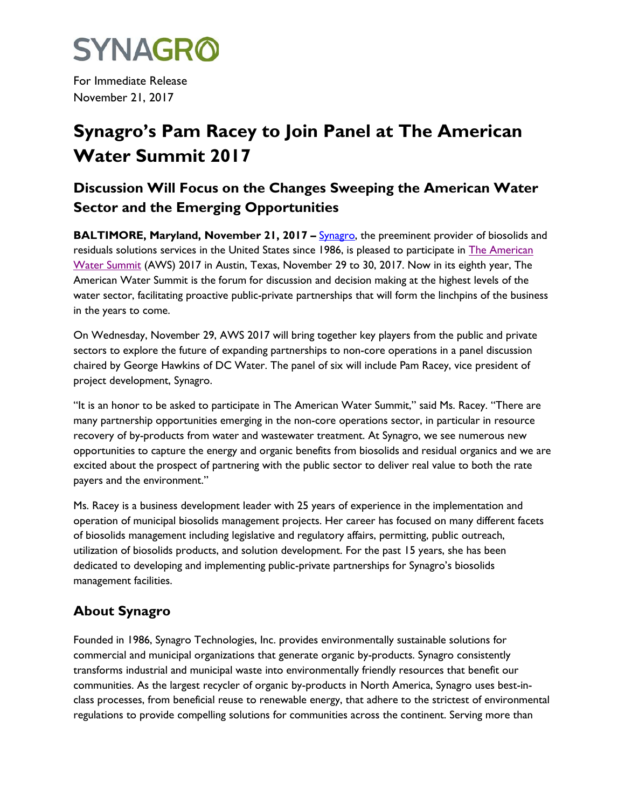

For Immediate Release November 21, 2017

## **Synagro's Pam Racey to Join Panel at The American Water Summit 2017**

## **Discussion Will Focus on the Changes Sweeping the American Water Sector and the Emerging Opportunities**

**BALTIMORE, Maryland, November 21, 2017 – [Synagro,](http://www.synagro.com/) the preeminent provider of biosolids and** residuals solutions services in the United States since 1986, is pleased to participate in [The American](http://r.search.yahoo.com/_ylt=A0LEVi7HfABa48oAzp4nnIlQ;_ylu=X3oDMTByOHZyb21tBGNvbG8DYmYxBHBvcwMxBHZ0aWQDBHNlYwNzcg--/RV=2/RE=1510010184/RO=10/RU=http%3a%2f%2fwww.americanwatersummit.com%2f/RK=1/RS=MjDOcttmTApSXBefC6g22ATyK4M-)  [Water Summit](http://r.search.yahoo.com/_ylt=A0LEVi7HfABa48oAzp4nnIlQ;_ylu=X3oDMTByOHZyb21tBGNvbG8DYmYxBHBvcwMxBHZ0aWQDBHNlYwNzcg--/RV=2/RE=1510010184/RO=10/RU=http%3a%2f%2fwww.americanwatersummit.com%2f/RK=1/RS=MjDOcttmTApSXBefC6g22ATyK4M-) (AWS) 2017 in Austin, Texas, November 29 to 30, 2017. Now in its eighth year, The American Water Summit is the forum for discussion and decision making at the highest levels of the water sector, facilitating proactive public-private partnerships that will form the linchpins of the business in the years to come.

On Wednesday, November 29, AWS 2017 will bring together key players from the public and private sectors to explore the future of expanding partnerships to non-core operations in a panel discussion chaired by George Hawkins of DC Water. The panel of six will include Pam Racey, vice president of project development, Synagro.

"It is an honor to be asked to participate in The American Water Summit," said Ms. Racey. "There are many partnership opportunities emerging in the non-core operations sector, in particular in resource recovery of by-products from water and wastewater treatment. At Synagro, we see numerous new opportunities to capture the energy and organic benefits from biosolids and residual organics and we are excited about the prospect of partnering with the public sector to deliver real value to both the rate payers and the environment."

Ms. Racey is a business development leader with 25 years of experience in the implementation and operation of municipal biosolids management projects. Her career has focused on many different facets of biosolids management including legislative and regulatory affairs, permitting, public outreach, utilization of biosolids products, and solution development. For the past 15 years, she has been dedicated to developing and implementing public-private partnerships for Synagro's biosolids management facilities.

## **About Synagro**

Founded in 1986, Synagro Technologies, Inc. provides environmentally sustainable solutions for commercial and municipal organizations that generate organic by-products. Synagro consistently transforms industrial and municipal waste into environmentally friendly resources that benefit our communities. As the largest recycler of organic by-products in North America, Synagro uses best-inclass processes, from beneficial reuse to renewable energy, that adhere to the strictest of environmental regulations to provide compelling solutions for communities across the continent. Serving more than